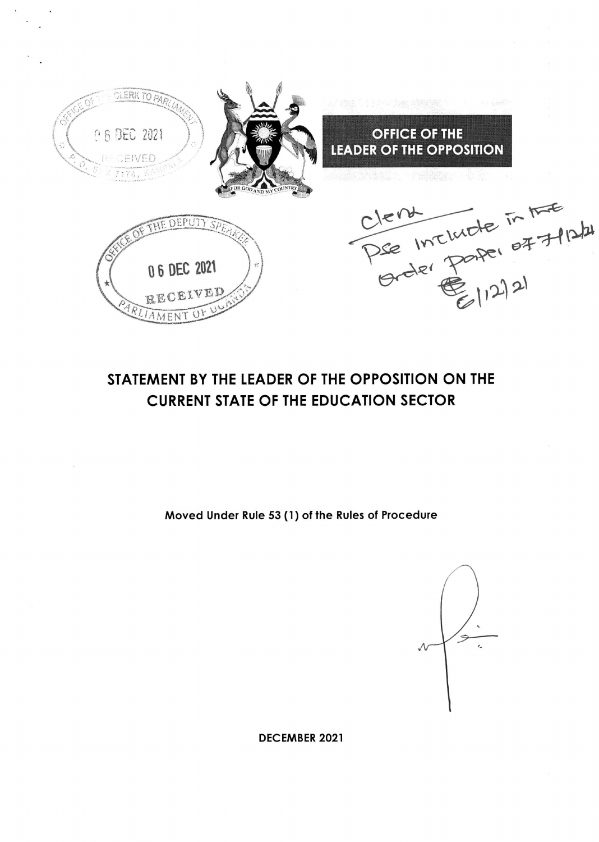

# STATEMENT BY THE LEADER OF THE OPPOSITION ON THE CURRENT STATE OF THE EDUCATION SECTOR

Moved Under Rule 53 (1) of the Rules of Procedure

DECEMBER 2O2I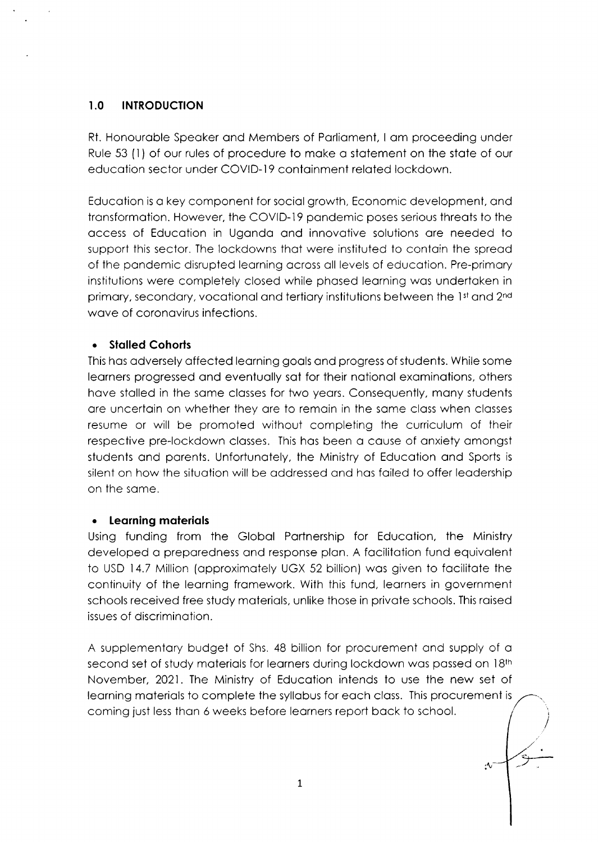# I.O INTRODUCTION

Rt. Honouroble Speoker ond Members of Porlioment, I om proceeding under Rule 53 (l) of our rules of procedure to moke o stotement on the stote of our educotion sector under COVID-19 contoinment reloted lockdown.

Educotion is o key component for sociol growth, Economic development, ond transformation. However, the COVID-19 pandemic poses serious threats to the occess of Educotion in Ugondo ond innovotive solutions ore needed to support this sector. The lockdowns that were instituted to contain the spread of the pondemic disrupted leorning ocross oll levels of educotion. Pre-primory institutions were completely closed while phosed leorning wos undertoken in primary, secondary, vocational and tertiary institutions between the 1st and 2<sup>nd</sup> wave of coronavirus infections.

# . Stolled Cohorls

This hos odversely offected leorning gools ond progress of students. While some leorners progressed ond eventuolly sot for their notionol exominotions, others have stalled in the same classes for two years. Consequently, many students are uncertain on whether they are to remain in the same class when classes resume or will be promoted without completing the curriculum of their respective pre-lockdown classes. This has been a cause of anxiety amongst students ond porents. Unfortunotely, the Ministry of Educotion ond Sports is silent on how the situotion will be oddressed ond hos foiled to offer leodership on the some.

# . leorning moteriols

Using funding from the Globol Portnership for Educotion, the Ministry developed a preparedness and response plan. A facilitation fund equivalent to USD 14.7 Million (opproximotely UGX 52 billion) wos given to focilitote the continuity of the leorning fromework. With this fund, leorners in government schools received free study moteriols, unlike those in privote schools. This roised issues of discriminotion.

A supplementory budget of Shs. 48 billion for procurement ond supply of o second set of study materials for learners during lockdown was passed on 18th November, 2021. The Ministry of Educotion intends to use the new set of leorning moteriols to complete the syllobus for eoch closs. This procurement is coming just less than 6 weeks before learners report back to school.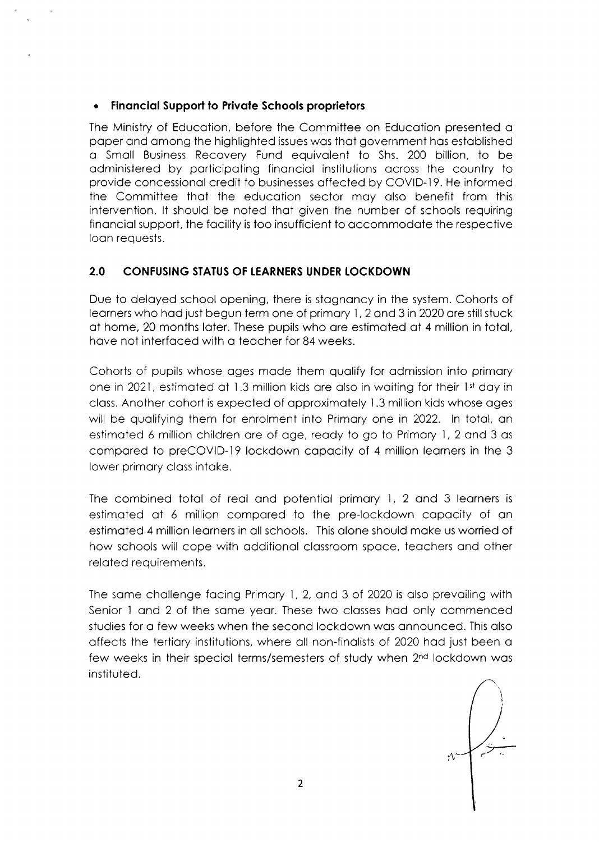#### . Finonciol Support to Privote Schools proprietors

The Ministry of Educotion, before the Committee on Educotion presented o poper ond omong the highlighted issues wos thot government hos estoblished o Smoll Business Recovery Fund equivolent to Shs. 200 billion, to be odministered by porticipoting finonciol institutions ocross the country to provide concessional credit to businesses affected by COVID-19. He informed the Committee thot the educotion sector moy olso benefit from this intervention. lt should be noted thot given the number of schools requiring financial support, the facility is too insufficient to accommodate the respective loon requests.

# 2.0 CONFUSING STATUS OF LEARNERS UNDER LOCKDOWN

Due to delayed school opening, there is stagnancy in the system. Cohorts of leorners who hod just begun term one of primory l, 2 ond 3in2020 ore stillstuck of home, 20 months loter. These pupils who qre estimoted of 4 million in totol, have not interfaced with a teacher for 84 weeks.

Cohorts of pupils whose oges mode them quolify for odmission into primory one in 2021, estimated at 1.3 million kids are also in waiting for their 1st day in closs. Another cohort is expected of opproximotely 1.3 million kids whose oges will be qualifying them for enrolment into Primary one in 2022. In total, an estimoted 6 million children ore of oge, reody to go to Primory l, 2 ond 3 os compared to preCOVID-19 lockdown capacity of 4 million learners in the 3 lower primory closs intoke.

The combined total of real and potential primary 1, 2 and 3 learners is estimoted of 6 million compored to the pre-lockdown copocity of on estimoted 4 million leorners in oll schools. This olone should moke us worried of how schools will cope with additional classroom space, teachers and other related requirements.

The some chollenge focing Primory l, 2, ond 3 of 2020 is olso prevoiling with Senior 1 and 2 of the same year. These two classes had only commenced studies for o few weeks when the second lockdown wos onnounced. This olso offects the tertiory institutions, where oll non-finolists of 2020 hod just been o few weeks in their special terms/semesters of study when 2<sup>nd</sup> lockdown was instituted.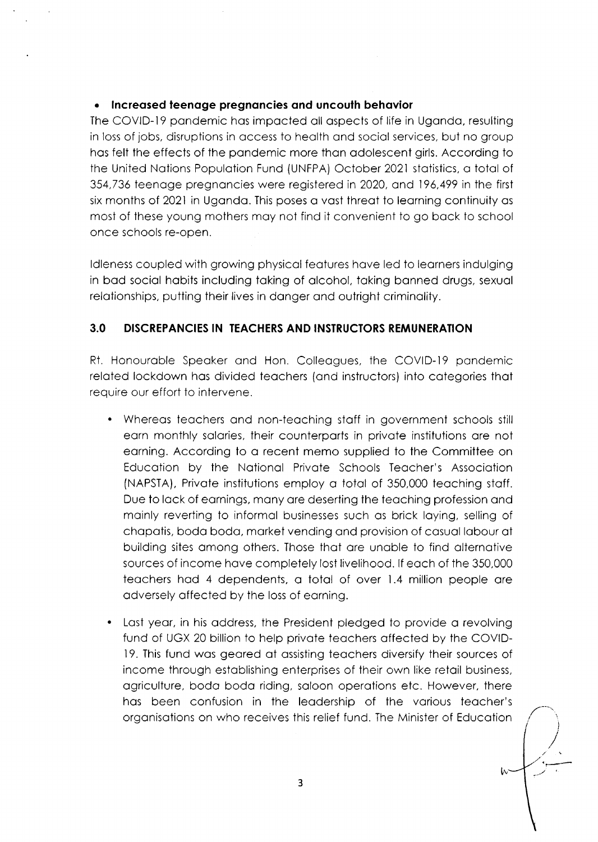## . lncreosed teenoge pregnoncies ond uncoulh behovior

The COVID-19 pondemic hos impocted oll ospects of life in Ugondo, resulting in loss of jobs, disruptions in occess to heolth ond sociol services, but no group hos felt the effects of the pondemic more thon odolescent girls. According to the United Notions Populotion Fund (UNFPA) October 2021 stotistics, o totol of 354,736 teenoge pregnoncies were registered in 2020, ond 196,499 in the first six months of 2021 in Uganda. This poses a vast threat to learning continuity as most of these young mothers moy not find it convenient to go bock to school once schools re-open.

Idleness coupled with growing physical features have led to learners indulging in bod sociol hobits including toking of qlcohol, toking bonned drugs, sexuol relationships, putting their lives in danger and outright criminality.

# 3.0 DISCREPANCIES IN TEACHERS AND INSTRUCTORS REMUNERATION

Rt. Honouroble Speoker ond Hon. Colleogues, the COVID-19 pondemic reloted lockdown hos divided teochers (ond instructors) into cotegories thot require our effort to intervene.

- Whereas teachers and non-teaching staff in government schools still eorn monthly solories, their counterports in privote institutions ore not eorning. According to o recent memo supplied to the Committee on Educotion by the Notionol Privote Schools Teqcher's Associotion (NAPSTA), Privote institutions employ o totol of 350,000 teoching stoff. Due to lack of earnings, many are deserting the teaching profession and mainly reverting to informal businesses such as brick laying, selling of chapatis, boda boda, market vending and provision of casual labour at building sites omong others. Those thot ore unoble to find olternotive sources of income hove completely lost livelihood. lf eoch of the 350,000 teochers hod 4 dependents, o totol of over 1.4 million people ore odversely offected by the loss of eorning.
- Last year, in his address, the President pledged to provide a revolving fund of UGX 20 billion to help privote teochers offected by the COVID-19. This fund wos geored of ossisting teochers diversify their sources of income through estoblishing enterprises of their own like retoil business, ogriculture, bodo bodo riding, soloon operotions etc. However, there has been confusion in the leadership of the various teacher's orgonisotions on who receives this relief fund. The Minister of Educotion

[r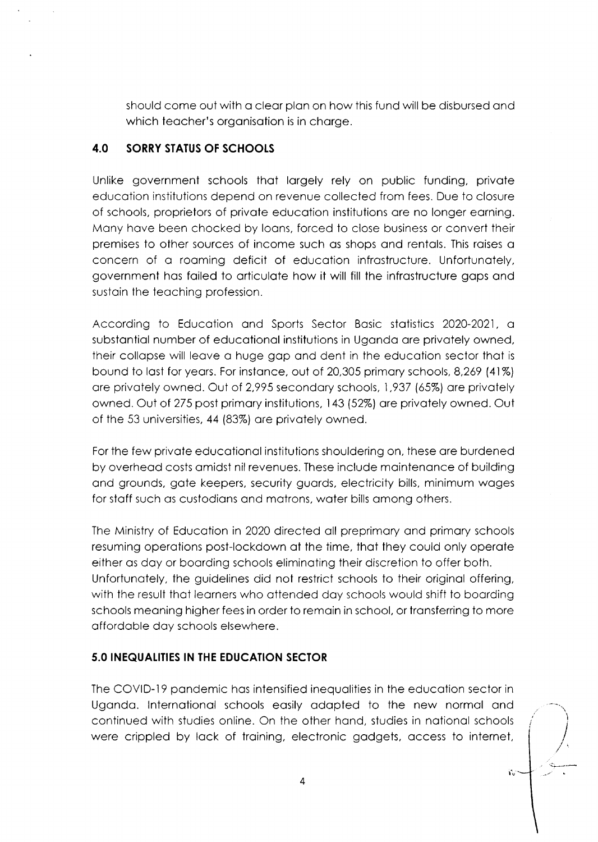should come out with a clear plan on how this fund will be disbursed and which teacher's organisation is in charge.

# 4.0 SORRY STATUS OF SCHOOLS

Unlike government schools that largely rely on public funding, private educotion institutions depend on revenue collected from fees. Due to closure of schools, proprietors of private education institutions are no longer earning. Many have been chocked by loans, forced to close business or convert their premises to other sources of income such os shops ond rentols. This roises o concern of a roaming deficit of education infrastructure. Unfortunately, government hos foiled to orticulote how it will fill the infrostructure gops ond sustain the teaching profession.

According to Educotion ond Sports Sector Bosic stotistics 2020-2021, <sup>o</sup> substantial number of educational institutions in Uganda are privately owned, their collopse will leove o huge gop ond dent in the educotion sector thot is bound to lost for yeors. For instonce, out of 20,305 primory schools, 8,269 (41%) are privately owned. Out of 2,995 secondary schools, 1,937 (65%) are privately owned. Out of 275 post primary institutions, 143 (52%) are privately owned. Out of the 53 universities, 44 (83%) ore privotely owned.

For the few privote educotionol institutions shouldering on, these ore burdened by overhead costs amidst nil revenues. These include maintenance of building ond grounds, gote keepers, security guords, electricity bills, minimum woges for staff such as custodians and matrons, water bills among others.

The Ministry of Educotion in 2020 directed oll preprimory ond primory schools resuming operotions post-lockdown of the time, thot they could only operote either os doy or boording schools eliminoting their discretion to offer both. Unfortunotely, the guidelines did not restrict schools to their originol offering, with the result thot leorners who ottended doy schools would shift to boording schools meoning higher fees in order to remoin in school, or tronsferring to more offordoble doy schools elsewhere.

# **5.0 INEQUALITIES IN THE EDUCATION SECTOR**

The COVID-19 pondemic hos intensified inequolities in the educotion sector in Ugondo. lnternotionol schools eosily odopted to the new normol ond continued with studies online. On the other hand, studies in national schools were crippled by lack of training, electronic gadgets, access to internet,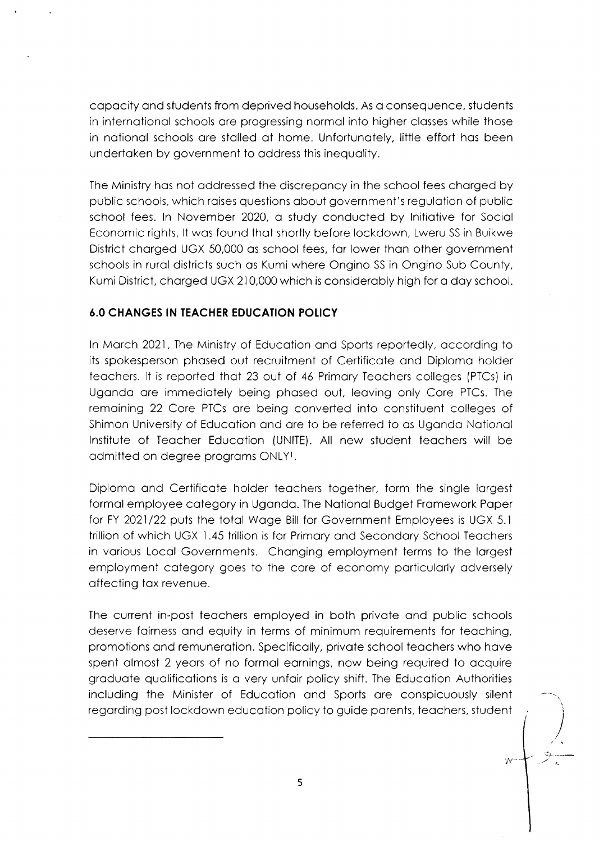capacity and students from deprived households. As a consequence, students in internotionol schools ore progressing normol into higher closses while those in notionol schools ore stolled of home. Unfortunotely, little effort hos been undertoken by government to oddress this inequolity.

The Ministry hos not oddressed the discreponcy in the school fees chorged by public schools, which roises questions obout government's regulotion of public school fees. ln November 2020, o study conducted by lnitiotive for Sociol Economic rights, lt wos found thot shortly before lockdown, Lweru SS in Buikwe District chorged UGX 50,000 os school fees, for lower thon other government schools in rural districts such as Kumi where Ongino SS in Ongino Sub County, Kumi District, chorged UGX 210,000 which is considerobly high for o doy school.

# **6.0 CHANGES IN TEACHER EDUCATION POLICY**

ln Morch 2021, The Ministry of Educotion ond Sports reportedly, occording to its spokesperson phosed out recruitment of Certificote ond Diplomo holder teochers. lt is reported thot 23 out of 46 Primory Teochers colleges (PICs) in Ugondo ore immediotely being phosed out, leoving only Core PTCs. The remoining 22 Core PTCs ore being converted into constituent colleges of Shimon University of Educotion ond ore to be referred to os Ugondo Notionol lnstitute of Teocher Educotion (UNITE). All new student teochers will be admitted on degree programs ONLY1.

Diplomo ond Certificote holder teochers together, form the single lorgest formol employee cotegory in Ugondo. The Notionol Budget Fromework Poper for FY 2021/22 puts the totol Woge Bill for Government Employees is UGX 5.1 trillion of which UGX 1.45 trillion is for Primory ond Secondory School Teochers in vorious Locol Governments. Chonging employment terms to the lorgest employment cotegory goes to the core of economy porticulorly odversely offecting tox revenue.

The current in-post teachers employed in both private and public schools deserve fairness and equity in terms of minimum requirements for teaching, promotions and remuneration. Specifically, private school teachers who have spent almost 2 years of no formal earnings, now being required to acquire groduote quolificotions is o very unfoir policy shift. The Educotion Authorities including the Minister of Educotion ond Sports ore conspicuously silent regording post lockdown educotion policy to guide porents, teochers, student

-.ir.--..--

 $yr$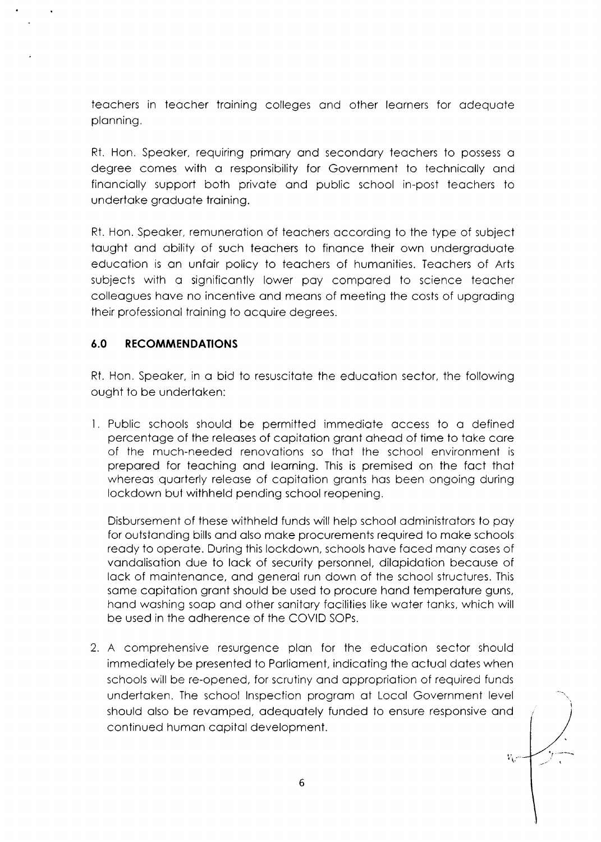teochers in teocher troining colleges ond other leorners for odequote plonning.

Rt. Hon. Speoker, requiring primory ond secondory teochers to possess o degree comes with a responsibility for Government to technically and finonciolly support both privote ond public school in-post teochers to undertoke groduote troining.

Rt. Hon. Speoker, remunerotion of teochers occording to the type of subject taught and ability of such teachers to finance their own undergraduate educotion is on unfoir policy to teochers of humonities. Teochers of Arts subjects with o significontly lower poy compored to science teocher colleagues have no incentive and means of meeting the costs of upgrading their professionol troining to ocquire degrees.

# 6.0 RECOMMENDATIONS

Rt. Hon. Speaker, in a bid to resuscitate the education sector, the following ought to be undertoken:

Public schools should be permitted immediqte occess to o defined percentoge of the releoses of copitotion gront oheod of time to toke core of the much-needed renovotions so thot the school environment is prepored for teoching ond leorning. This is premised on the foct thot whereas quarterly release of capitation grants has been ongoing during lockdown but withheld pending school reopening.

Disbursement of these withheld funds will help school odministrotors to poy for outstonding bills ond olso moke procurements required to moke schools ready to operate. During this lockdown, schools have faced many cases of vandalisation due to lack of security personnel, dilapidation because of lack of maintenance, and general run down of the school structures. This same capitation grant should be used to procure hand temperature guns, hand washing soap and other sanitary facilities like water tanks, which will be used in the odherence of the COVID SOPs.

2. A comprehensive resurgence plon for the educotion sector should immediately be presented to Parliament, indicating the actual dates when schools will be re-opened, for scrutiny and appropriation of required funds undertoken. The school lnspection progrom of Locol Government level should also be revamped, adequately funded to ensure responsive and continued humon copitol development.

W